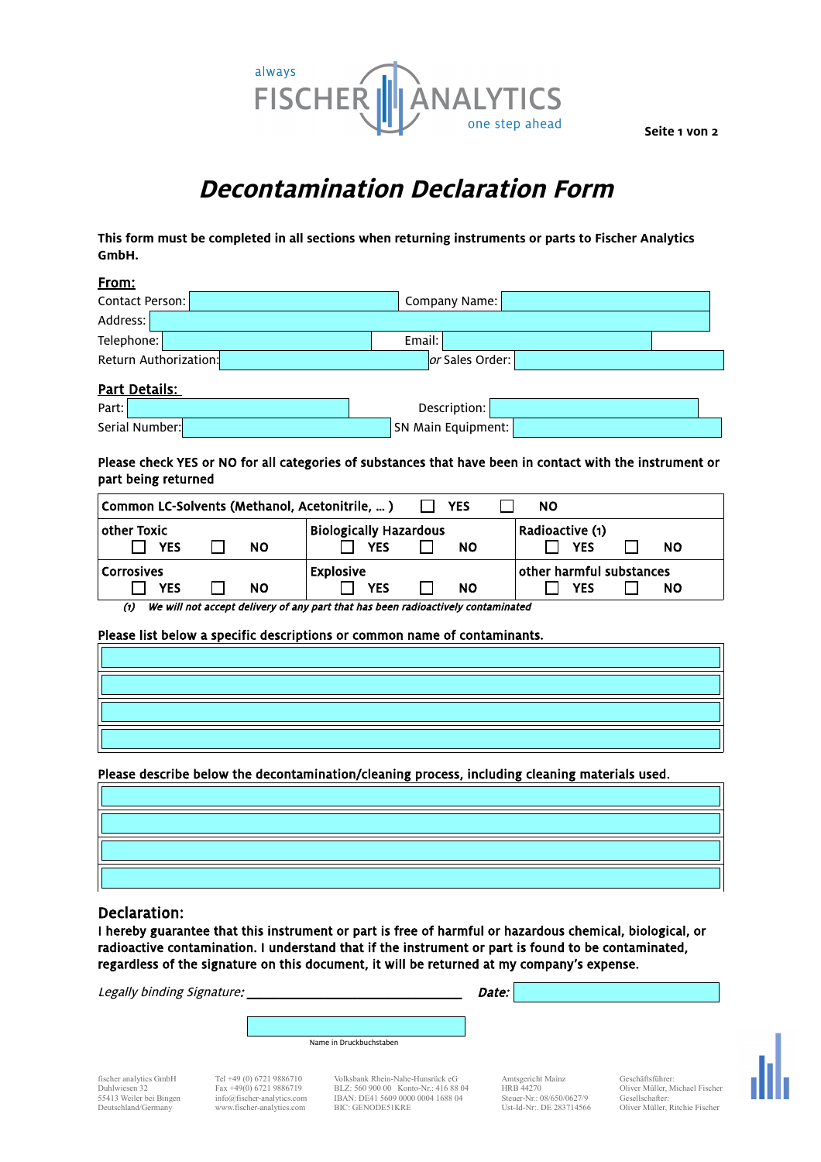

**Seite 1 von 2**

# **Decontamination Declaration Form**

**This form must be completed in all sections when returning instruments or parts to Fischer Analytics GmbH.** 

#### From:

| Contact Person:       | Company Name:   |  |
|-----------------------|-----------------|--|
| Address:              |                 |  |
| Telephone:            | Email:          |  |
| Return Authorization: | or Sales Order: |  |
|                       |                 |  |

### Part Details:

| Part:          | Description:       |  |
|----------------|--------------------|--|
| Serial Number: | SN Main Equipment: |  |

#### Please check YES or NO for all categories of substances that have been in contact with the instrument or part being returned

| Common LC-Solvents (Methanol, Acetonitrile,  )<br><b>YES</b><br>NO. |  |           |                               |  |                          |                 |  |           |
|---------------------------------------------------------------------|--|-----------|-------------------------------|--|--------------------------|-----------------|--|-----------|
| $\mid$ other Toxic $\mid$                                           |  |           | <b>Biologically Hazardous</b> |  |                          | Radioactive (1) |  |           |
| <b>YES</b>                                                          |  | <b>NO</b> | <b>YES</b>                    |  | NΟ                       | <b>YES</b>      |  | <b>NO</b> |
| <b>Corrosives</b>                                                   |  |           | <b>Explosive</b>              |  | other harmful substances |                 |  |           |
| <b>YES</b>                                                          |  | <b>NO</b> | <b>YES</b>                    |  | <b>NO</b>                | <b>YES</b>      |  | <b>NO</b> |

(1) We will not accept delivery of any part that has been radioactively contaminated

#### Please list below a specific descriptions or common name of contaminants.

Please describe below the decontamination/cleaning process, including cleaning materials used.

### Declaration:

I hereby guarantee that this instrument or part is free of harmful or hazardous chemical, biological, or radioactive contamination. I understand that if the instrument or part is found to be contaminated, regardless of the signature on this document, it will be returned at my company's expense.

Legally binding Signature: \_\_\_\_\_\_\_\_\_\_\_\_\_\_\_\_\_\_\_\_\_\_\_\_\_\_\_\_\_\_\_\_ Date:

Name in Druckbuchstaben

fischer analytics GmbH Tel +49 (0) 6721 9886710 Volksbank Rhein-Nahe-Hunsrück eG Amtsgericht Mainz Geschäftsführer: Duhlwiesen 32 Fax +49(0) 6721 9886719 BLZ: 560 900 00 Konto-Nr.: 416 88 04 HRB 44270 Oliver Müller, Michael Fischer 55413 Weiler bei Bingen [info@fischer-analytics.com](mailto:info@fischer-analytics.com) IBAN: DE41 5609 0000 0004 1688 04 Steuer-Nr.: 08/650/0627/9 Gesellschafter: Deutschland/Germany [www.fischer-analytics.com](http://www.fischer-analytics.com/) BIC: GENODE51KRE Ust-Id-Nr:. DE 283714566 Oliver Müller, Ritchie Fischer